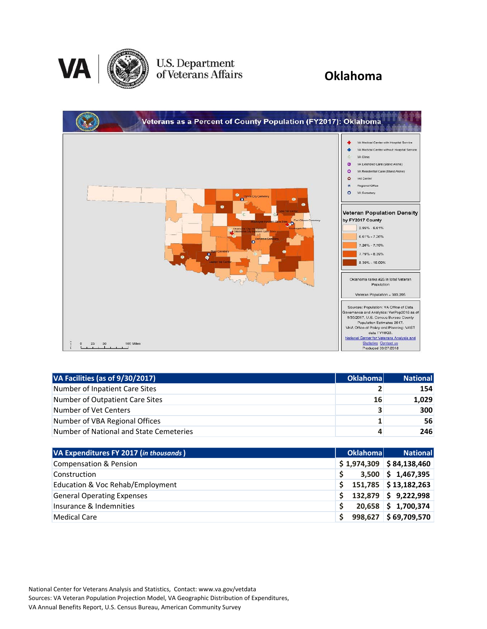

# U.S. Department<br>of Veterans Affairs

### **Oklahoma**

| Veterans as a Percent of County Population (FY2017): Oklahoma                                                                                                              |                                                                                                                                                                                                                                                                                                                                                                                                                                                                                                                                                                                                                                                                                                                                                                                                                                                     |
|----------------------------------------------------------------------------------------------------------------------------------------------------------------------------|-----------------------------------------------------------------------------------------------------------------------------------------------------------------------------------------------------------------------------------------------------------------------------------------------------------------------------------------------------------------------------------------------------------------------------------------------------------------------------------------------------------------------------------------------------------------------------------------------------------------------------------------------------------------------------------------------------------------------------------------------------------------------------------------------------------------------------------------------------|
| ۰<br>Chance City Cemetery<br>$\bullet$<br>Fort Gibson Commany<br>Sum<br>Ciklaho<br><b>Intient Care</b><br>Seminara Cem<br>n<br>Commete<br>S<br>ö.<br>50<br>100 Miles<br>25 | VA Medical Center with Hospital Service<br>VA Medical Center without Hospital Service<br>$\langle \bar{c} \rangle$<br>VA Clinic<br>G<br>VA Extended Care (Stand Alone)<br>VA Residential Care (Stand Alone)<br>٥<br>Vet Center<br>$\bullet$<br>Regional Office<br>大<br>VA Cemetery<br>$\circ$<br><b>Veteran Population Density</b><br>by FY2017 County<br>2.95% - 6.61%<br>$6.61\% - 7.26\%$<br>$7.26\% - 7.79\%$<br>$7.79\% - 8.39\%$<br>8.39% - 16.09%<br>Oklahoma ranks #26 in total Veteran<br>Population<br>Veteran Population = 303.205<br>Sources: Population: VA Office of Data<br>Governance and Analytics: VetPop2016 as of<br>9/30/2017, U.S. Census Bureau County<br>Population Estimates 2017.<br>VHA Office of Policy and Planning: VAST<br>dala FY18Q2.<br>National Center for Veterans Analysis and<br><b>Statistics Contact us</b> |
|                                                                                                                                                                            | Produced 09/27/2018                                                                                                                                                                                                                                                                                                                                                                                                                                                                                                                                                                                                                                                                                                                                                                                                                                 |

| VA Facilities (as of 9/30/2017)         | <b>Oklahomal</b> | <b>National</b> |
|-----------------------------------------|------------------|-----------------|
| Number of Inpatient Care Sites          |                  | 154             |
| Number of Outpatient Care Sites         | 16               | 1,029           |
| Number of Vet Centers                   |                  | <b>300</b>      |
| Number of VBA Regional Offices          |                  | 56              |
| Number of National and State Cemeteries |                  | 246             |

| VA Expenditures FY 2017 (in thousands) | <b>Oklahomal</b> | <b>National</b>            |
|----------------------------------------|------------------|----------------------------|
| <b>Compensation &amp; Pension</b>      |                  | $$1,974,309$ $$84,138,460$ |
| Construction                           |                  | $3,500$ \$ 1,467,395       |
| Education & Voc Rehab/Employment       |                  | 151,785 \$13,182,263       |
| <b>General Operating Expenses</b>      |                  | 132,879 \$ 9,222,998       |
| Insurance & Indemnities                |                  | 20,658 \$1,700,374         |
| <b>Medical Care</b>                    |                  | 998,627 \$69,709,570       |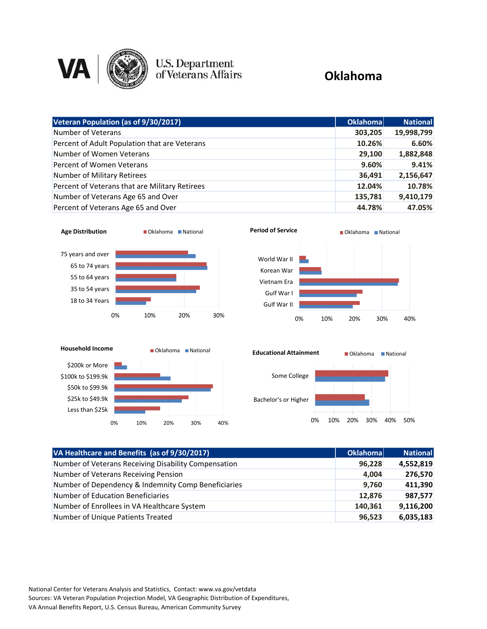

### U.S. Department<br>of Veterans Affairs

#### **Oklahoma**

| Veteran Population (as of 9/30/2017)           | Oklahoma | <b>National</b> |
|------------------------------------------------|----------|-----------------|
| Number of Veterans                             | 303,205  | 19,998,799      |
| Percent of Adult Population that are Veterans  | 10.26%   | 6.60%           |
| Number of Women Veterans                       | 29,100   | 1,882,848       |
| Percent of Women Veterans                      | 9.60%    | 9.41%           |
| Number of Military Retirees                    | 36,491   | 2,156,647       |
| Percent of Veterans that are Military Retirees | 12.04%   | 10.78%          |
| Number of Veterans Age 65 and Over             | 135,781  | 9,410,179       |
| Percent of Veterans Age 65 and Over            | 44.78%   | 47.05%          |









| VA Healthcare and Benefits (as of 9/30/2017)         | Oklahoma | <b>National</b> |
|------------------------------------------------------|----------|-----------------|
| Number of Veterans Receiving Disability Compensation | 96,228   | 4,552,819       |
| Number of Veterans Receiving Pension                 | 4,004    | 276,570         |
| Number of Dependency & Indemnity Comp Beneficiaries  | 9,760    | 411,390         |
| <b>Number of Education Beneficiaries</b>             | 12,876   | 987,577         |
| Number of Enrollees in VA Healthcare System          | 140,361  | 9,116,200       |
| Number of Unique Patients Treated                    | 96,523   | 6,035,183       |

National Center for Veterans Analysis and Statistics, Contact: www.va.gov/vetdata Sources: VA Veteran Population Projection Model, VA Geographic Distribution of Expenditures, VA Annual Benefits Report, U.S. Census Bureau, American Community Survey